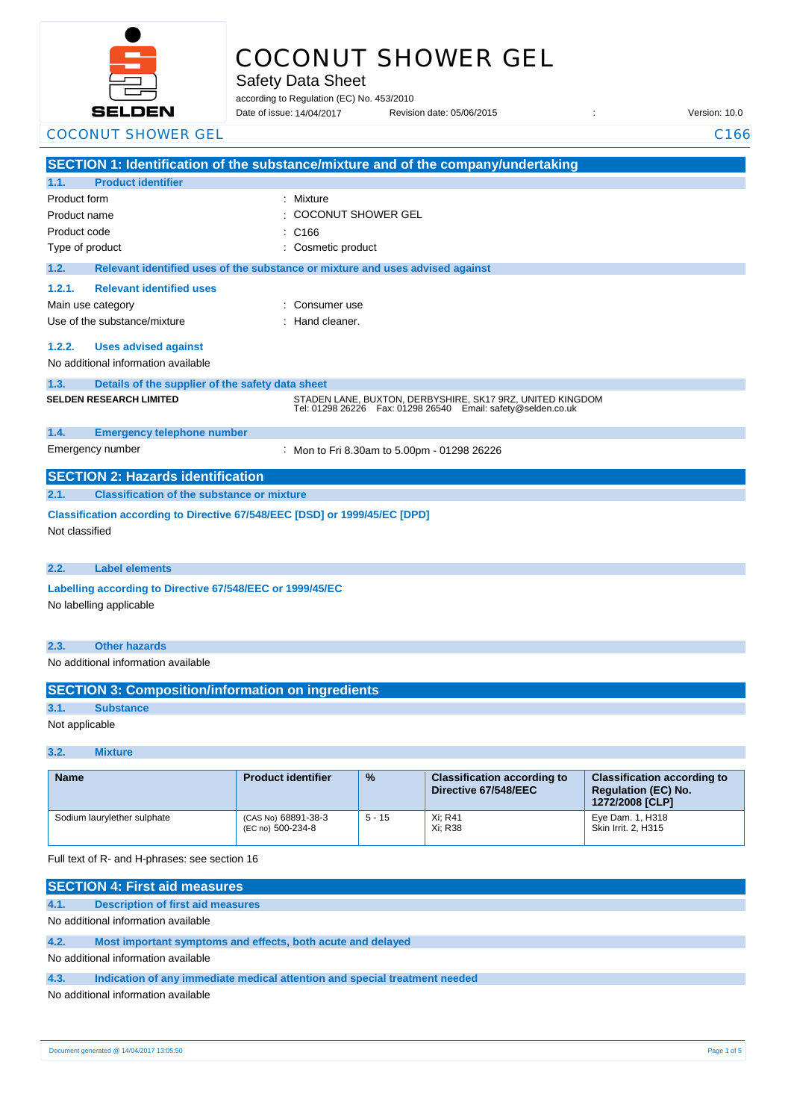

# COCONUT SHOWER GEL

Safety Data Sheet

according to Regulation (EC) No. 453/2010

Date of issue: Revision date: 05/06/2015 : Version: 10.0 Date of issue: 14/04/2017

|                         | <b>COCONUT SHOWER GEL</b>                                                  |                                                                                                                                 | C <sub>166</sub> |  |  |
|-------------------------|----------------------------------------------------------------------------|---------------------------------------------------------------------------------------------------------------------------------|------------------|--|--|
|                         |                                                                            | SECTION 1: Identification of the substance/mixture and of the company/undertaking                                               |                  |  |  |
| 1.1.                    | <b>Product identifier</b>                                                  |                                                                                                                                 |                  |  |  |
| Product form            |                                                                            | Mixture                                                                                                                         |                  |  |  |
| Product name            |                                                                            | <b>COCONUT SHOWER GEL</b>                                                                                                       |                  |  |  |
| Product code            |                                                                            | C <sub>166</sub>                                                                                                                |                  |  |  |
| Type of product         |                                                                            | Cosmetic product                                                                                                                |                  |  |  |
| 1.2.                    |                                                                            | Relevant identified uses of the substance or mixture and uses advised against                                                   |                  |  |  |
| 1.2.1.                  | <b>Relevant identified uses</b>                                            |                                                                                                                                 |                  |  |  |
|                         | Main use category                                                          | Consumer use                                                                                                                    |                  |  |  |
|                         | Use of the substance/mixture                                               | Hand cleaner.                                                                                                                   |                  |  |  |
| 1.2.2.                  | <b>Uses advised against</b>                                                |                                                                                                                                 |                  |  |  |
|                         | No additional information available                                        |                                                                                                                                 |                  |  |  |
| 1.3.                    | Details of the supplier of the safety data sheet                           |                                                                                                                                 |                  |  |  |
|                         | <b>SELDEN RESEARCH LIMITED</b>                                             | STADEN LANE, BUXTON, DERBYSHIRE, SK17 9RZ, UNITED KINGDOM<br>Tel: 01298 26226    Fax: 01298 26540    Email: safety@selden.co.uk |                  |  |  |
| 1.4.                    | <b>Emergency telephone number</b>                                          |                                                                                                                                 |                  |  |  |
|                         | Emergency number                                                           | Mon to Fri 8.30am to 5.00pm - 01298 26226                                                                                       |                  |  |  |
|                         | <b>SECTION 2: Hazards identification</b>                                   |                                                                                                                                 |                  |  |  |
| 2.1.                    | <b>Classification of the substance or mixture</b>                          |                                                                                                                                 |                  |  |  |
|                         | Classification according to Directive 67/548/EEC [DSD] or 1999/45/EC [DPD] |                                                                                                                                 |                  |  |  |
| Not classified          |                                                                            |                                                                                                                                 |                  |  |  |
|                         |                                                                            |                                                                                                                                 |                  |  |  |
| 2.2.                    | <b>Label elements</b>                                                      |                                                                                                                                 |                  |  |  |
|                         | Labelling according to Directive 67/548/EEC or 1999/45/EC                  |                                                                                                                                 |                  |  |  |
| No labelling applicable |                                                                            |                                                                                                                                 |                  |  |  |
|                         |                                                                            |                                                                                                                                 |                  |  |  |
| 2.3.                    | <b>Other hazards</b>                                                       |                                                                                                                                 |                  |  |  |
|                         | No additional information available                                        |                                                                                                                                 |                  |  |  |
|                         |                                                                            |                                                                                                                                 |                  |  |  |
|                         | <b>SECTION 3: Composition/information on ingredients</b>                   |                                                                                                                                 |                  |  |  |
| 3.1.                    | <b>Substance</b>                                                           |                                                                                                                                 |                  |  |  |
|                         | Not applicable                                                             |                                                                                                                                 |                  |  |  |

#### **3.2. Mixture**

| <b>Name</b>                 | <b>Product identifier</b>                | $\frac{9}{6}$ | <b>Classification according to</b><br>Directive 67/548/EEC | <b>Classification according to</b><br><b>Requlation (EC) No.</b><br>1272/2008 [CLP] |
|-----------------------------|------------------------------------------|---------------|------------------------------------------------------------|-------------------------------------------------------------------------------------|
| Sodium laurylether sulphate | (CAS No) 68891-38-3<br>(EC no) 500-234-8 | $5 - 15$      | Xi; R41<br>Xi: R38                                         | Eye Dam. 1, H318<br>Skin Irrit. 2, H315                                             |

Full text of R- and H-phrases: see section 16

| <b>SECTION 4: First aid measures</b> |                                                                            |  |
|--------------------------------------|----------------------------------------------------------------------------|--|
| 4.1.                                 | <b>Description of first aid measures</b>                                   |  |
| No additional information available  |                                                                            |  |
| 4.2.                                 | Most important symptoms and effects, both acute and delayed                |  |
| No additional information available  |                                                                            |  |
| 4.3.                                 | Indication of any immediate medical attention and special treatment needed |  |
| No additional information available  |                                                                            |  |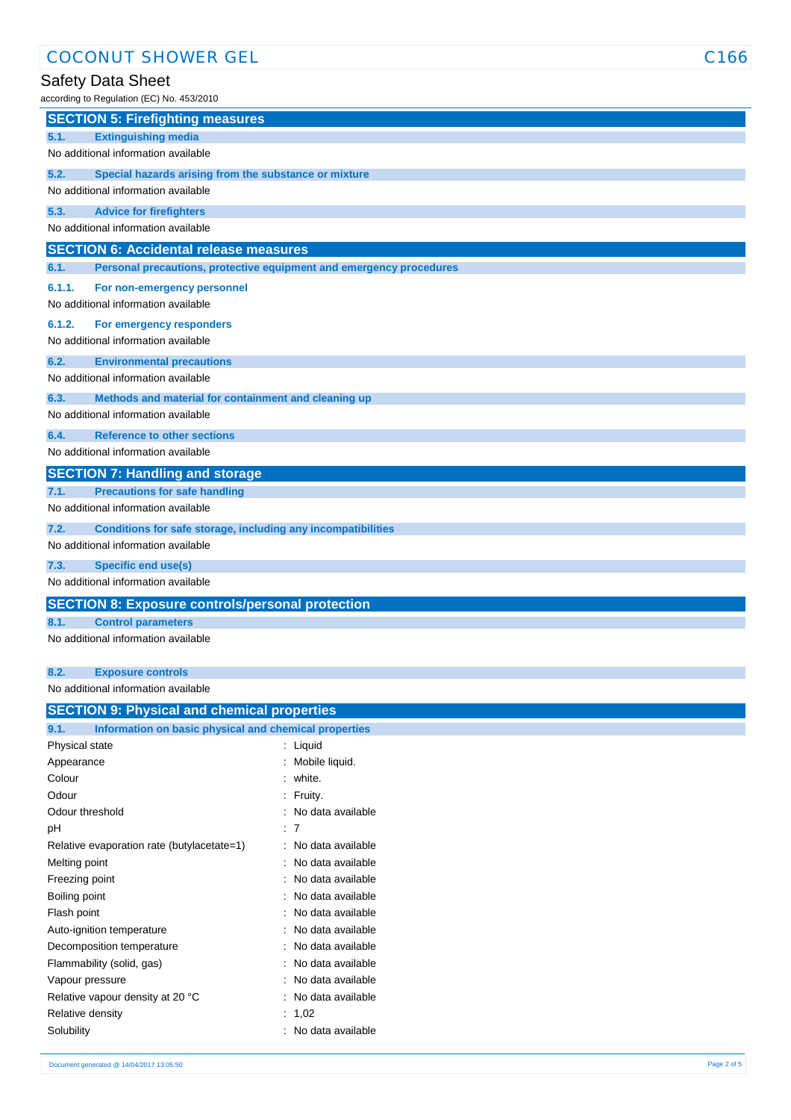## Safety Data Sheet

according to Regulation (EC) No. 453/2010

| $1000$ and $10000$ and $10000$ and $10000$ and $10000$ and $10000$ and $10000$ and $10000$ and $10000$ and $10000$ and $10000$ and $10000$ and $10000$ and $10000$ and $10000$ and $10000$ and $10000$ and $10000$ and $10000$ |
|--------------------------------------------------------------------------------------------------------------------------------------------------------------------------------------------------------------------------------|
| <b>SECTION 5: Firefighting measures</b>                                                                                                                                                                                        |
| 5.1.<br><b>Extinguishing media</b>                                                                                                                                                                                             |
| No additional information available                                                                                                                                                                                            |
| 5.2.<br>Special hazards arising from the substance or mixture                                                                                                                                                                  |
| No additional information available                                                                                                                                                                                            |
| 5.3.<br><b>Advice for firefighters</b>                                                                                                                                                                                         |
| No additional information available                                                                                                                                                                                            |
| <b>SECTION 6: Accidental release measures</b>                                                                                                                                                                                  |
| 6.1.<br>Personal precautions, protective equipment and emergency procedures                                                                                                                                                    |
| 6.1.1.<br>For non-emergency personnel                                                                                                                                                                                          |
| No additional information available                                                                                                                                                                                            |
| 6.1.2.<br>For emergency responders                                                                                                                                                                                             |
| No additional information available                                                                                                                                                                                            |
| 6.2.<br><b>Environmental precautions</b>                                                                                                                                                                                       |
| No additional information available                                                                                                                                                                                            |
| 6.3.<br>Methods and material for containment and cleaning up                                                                                                                                                                   |
| No additional information available                                                                                                                                                                                            |
| 6.4.<br><b>Reference to other sections</b>                                                                                                                                                                                     |
| No additional information available                                                                                                                                                                                            |
| <b>SECTION 7: Handling and storage</b>                                                                                                                                                                                         |
| <b>Precautions for safe handling</b><br>7.1.                                                                                                                                                                                   |
| No additional information available                                                                                                                                                                                            |
| 7.2.<br>Conditions for safe storage, including any incompatibilities                                                                                                                                                           |
| No additional information available                                                                                                                                                                                            |
| 7.3.<br><b>Specific end use(s)</b>                                                                                                                                                                                             |
| No additional information available                                                                                                                                                                                            |
| <b>SECTION 8: Exposure controls/personal protection</b>                                                                                                                                                                        |
| 8.1.<br><b>Control parameters</b>                                                                                                                                                                                              |
| No additional information available                                                                                                                                                                                            |
|                                                                                                                                                                                                                                |
| 8.2.<br><b>Exposure controls</b>                                                                                                                                                                                               |
| No additional information available                                                                                                                                                                                            |

| <b>SECTION 9: Physical and chemical properties</b>    |  |  |  |
|-------------------------------------------------------|--|--|--|
| Information on basic physical and chemical properties |  |  |  |
| : Liquid                                              |  |  |  |
| : Mobile liquid.                                      |  |  |  |
| : white.                                              |  |  |  |
| : Fruity.                                             |  |  |  |
| : No data available                                   |  |  |  |
| : 7                                                   |  |  |  |
| : No data available                                   |  |  |  |
| : No data available                                   |  |  |  |
| : No data available                                   |  |  |  |
| : No data available                                   |  |  |  |
| : No data available                                   |  |  |  |
| : No data available                                   |  |  |  |
| : No data available                                   |  |  |  |
| : No data available                                   |  |  |  |
| : No data available                                   |  |  |  |
| : No data available                                   |  |  |  |
| : $1,02$                                              |  |  |  |
| : No data available                                   |  |  |  |
|                                                       |  |  |  |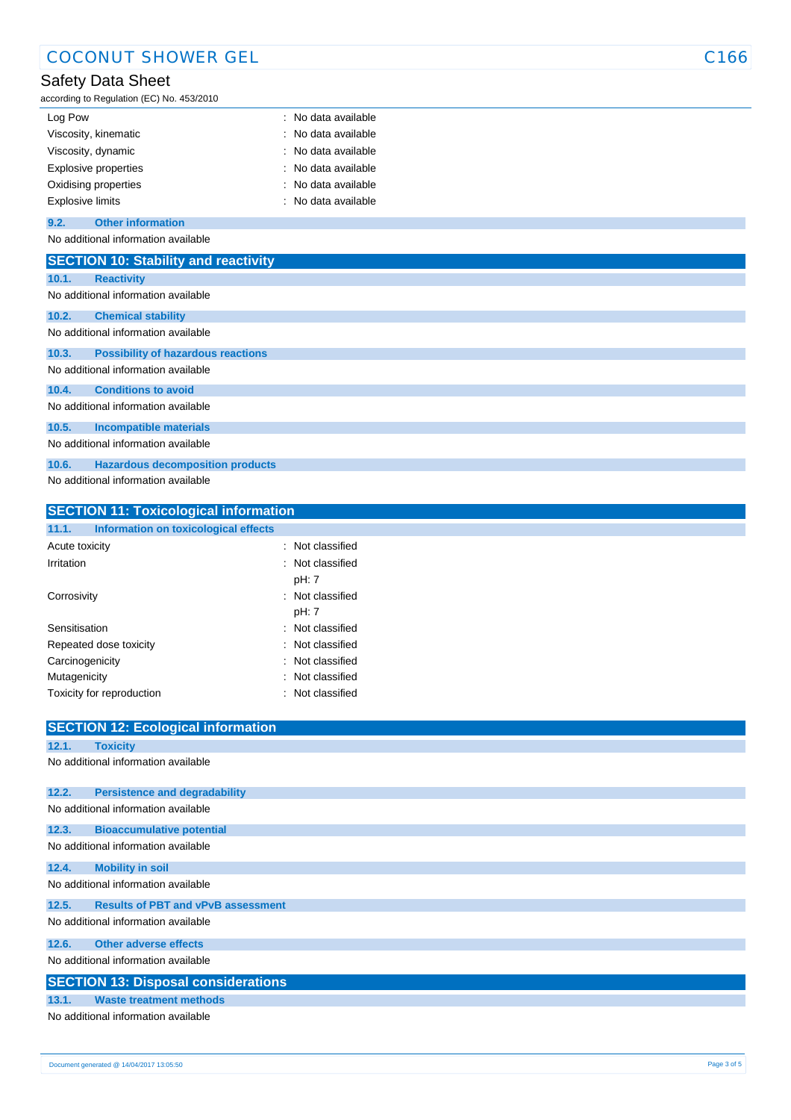| <b>COCONUT SHOWER GEL</b>                                                                 |                                        | C166 |
|-------------------------------------------------------------------------------------------|----------------------------------------|------|
| <b>Safety Data Sheet</b><br>according to Regulation (EC) No. 453/2010                     |                                        |      |
| Log Pow                                                                                   | : No data available                    |      |
| Viscosity, kinematic<br>Viscosity, dynamic                                                | No data available<br>No data available |      |
| Explosive properties<br>Oxidising properties                                              | No data available<br>No data available |      |
| <b>Explosive limits</b>                                                                   | : No data available                    |      |
| <b>Other information</b><br>9.2.<br>No additional information available                   |                                        |      |
| <b>SECTION 10: Stability and reactivity</b>                                               |                                        |      |
| 10.1.<br><b>Reactivity</b><br>No additional information available                         |                                        |      |
| 10.2.<br><b>Chemical stability</b><br>No additional information available                 |                                        |      |
| 10.3.<br><b>Possibility of hazardous reactions</b><br>No additional information available |                                        |      |
| 10.4.<br><b>Conditions to avoid</b><br>No additional information available                |                                        |      |
| 10.5.<br><b>Incompatible materials</b><br>No additional information available             |                                        |      |
| 10.6.<br><b>Hazardous decomposition products</b><br>No additional information available   |                                        |      |
| <b>SECTION 11: Toxicological information</b>                                              |                                        |      |

| Repeated dose toxicity              |                                            | Not classified |  |
|-------------------------------------|--------------------------------------------|----------------|--|
| Carcinogenicity                     |                                            | Not classified |  |
| Mutagenicity                        |                                            | Not classified |  |
|                                     | Toxicity for reproduction                  | Not classified |  |
|                                     |                                            |                |  |
|                                     | <b>SECTION 12: Ecological information</b>  |                |  |
| 12.1.                               | <b>Toxicity</b>                            |                |  |
|                                     | No additional information available        |                |  |
|                                     |                                            |                |  |
| 12.2.                               | <b>Persistence and degradability</b>       |                |  |
|                                     | No additional information available        |                |  |
| 12.3.                               | <b>Bioaccumulative potential</b>           |                |  |
|                                     | No additional information available        |                |  |
| 12.4.                               | <b>Mobility in soil</b>                    |                |  |
|                                     | No additional information available        |                |  |
| 12.5.                               | <b>Results of PBT and vPvB assessment</b>  |                |  |
| No additional information available |                                            |                |  |
| 12.6.                               | <b>Other adverse effects</b>               |                |  |
| No additional information available |                                            |                |  |
|                                     | <b>SECTION 13: Disposal considerations</b> |                |  |
| 13.1.                               | <b>Waste treatment methods</b>             |                |  |
| No additional information available |                                            |                |  |

**11.1. Information on toxicological effects**

Acute toxicity **in the case of the case of the case of the case of the case of the case of the case of the case of the case of the case of the case of the case of the case of the case of the case of the case of the case of** Irritation : Not classified

Corrosivity **Contract Contract Contract Contract Contract Contract Contract Contract Contract Contract Contract Contract Contract Contract Contract Contract Contract Contract Contract Contract Contract Contract Contract Co** 

Sensitisation : Not classified

pH: 7

pH: 7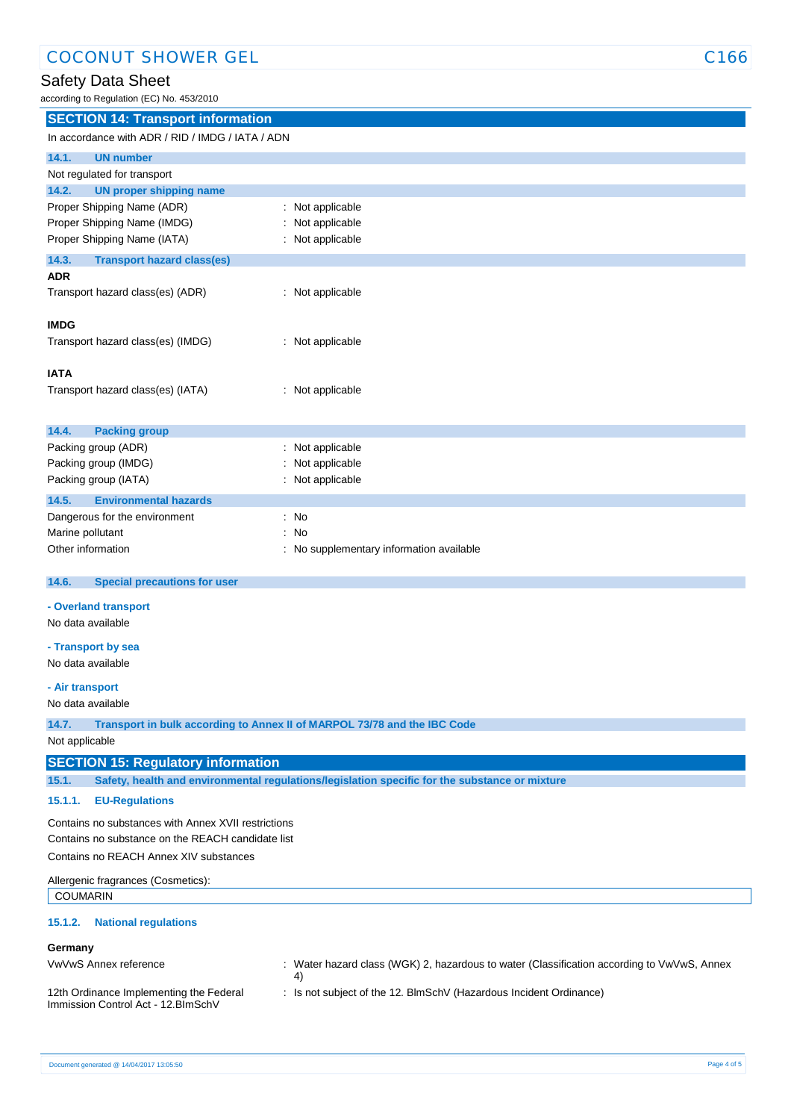## Safety Data Sheet

according to Regulation (EC) No. 453/2010

| <b>SECTION 14: Transport information</b>                                                                                                             |                                                                                                |  |  |
|------------------------------------------------------------------------------------------------------------------------------------------------------|------------------------------------------------------------------------------------------------|--|--|
| In accordance with ADR / RID / IMDG / IATA / ADN                                                                                                     |                                                                                                |  |  |
| 14.1.<br><b>UN number</b>                                                                                                                            |                                                                                                |  |  |
| Not regulated for transport                                                                                                                          |                                                                                                |  |  |
| <b>UN proper shipping name</b><br>14.2.                                                                                                              |                                                                                                |  |  |
| Proper Shipping Name (ADR)                                                                                                                           | Not applicable                                                                                 |  |  |
| Proper Shipping Name (IMDG)                                                                                                                          | Not applicable                                                                                 |  |  |
| Proper Shipping Name (IATA)                                                                                                                          | Not applicable                                                                                 |  |  |
|                                                                                                                                                      |                                                                                                |  |  |
| 14.3.<br><b>Transport hazard class(es)</b>                                                                                                           |                                                                                                |  |  |
| <b>ADR</b>                                                                                                                                           |                                                                                                |  |  |
| Transport hazard class(es) (ADR)                                                                                                                     | : Not applicable                                                                               |  |  |
| <b>IMDG</b>                                                                                                                                          |                                                                                                |  |  |
|                                                                                                                                                      |                                                                                                |  |  |
| Transport hazard class(es) (IMDG)                                                                                                                    | : Not applicable                                                                               |  |  |
|                                                                                                                                                      |                                                                                                |  |  |
| <b>IATA</b>                                                                                                                                          |                                                                                                |  |  |
| Transport hazard class(es) (IATA)                                                                                                                    | : Not applicable                                                                               |  |  |
|                                                                                                                                                      |                                                                                                |  |  |
| 14.4.<br><b>Packing group</b>                                                                                                                        |                                                                                                |  |  |
| Packing group (ADR)                                                                                                                                  | Not applicable                                                                                 |  |  |
| Packing group (IMDG)                                                                                                                                 | Not applicable                                                                                 |  |  |
| Packing group (IATA)                                                                                                                                 | Not applicable                                                                                 |  |  |
| 14.5.<br><b>Environmental hazards</b>                                                                                                                |                                                                                                |  |  |
| Dangerous for the environment                                                                                                                        | : No                                                                                           |  |  |
| Marine pollutant                                                                                                                                     | No                                                                                             |  |  |
| Other information                                                                                                                                    | No supplementary information available                                                         |  |  |
|                                                                                                                                                      |                                                                                                |  |  |
| 14.6.<br><b>Special precautions for user</b>                                                                                                         |                                                                                                |  |  |
|                                                                                                                                                      |                                                                                                |  |  |
| - Overland transport                                                                                                                                 |                                                                                                |  |  |
| No data available                                                                                                                                    |                                                                                                |  |  |
| - Transport by sea                                                                                                                                   |                                                                                                |  |  |
| No data available                                                                                                                                    |                                                                                                |  |  |
|                                                                                                                                                      |                                                                                                |  |  |
| - Air transport                                                                                                                                      |                                                                                                |  |  |
| No data available                                                                                                                                    |                                                                                                |  |  |
| 14.7.                                                                                                                                                | Transport in bulk according to Annex II of MARPOL 73/78 and the IBC Code                       |  |  |
| Not applicable                                                                                                                                       |                                                                                                |  |  |
| <b>SECTION 15: Regulatory information</b>                                                                                                            |                                                                                                |  |  |
| 15.1.                                                                                                                                                | Safety, health and environmental regulations/legislation specific for the substance or mixture |  |  |
|                                                                                                                                                      |                                                                                                |  |  |
| 15.1.1.<br><b>EU-Regulations</b>                                                                                                                     |                                                                                                |  |  |
| Contains no substances with Annex XVII restrictions                                                                                                  |                                                                                                |  |  |
| Contains no substance on the REACH candidate list                                                                                                    |                                                                                                |  |  |
| Contains no REACH Annex XIV substances                                                                                                               |                                                                                                |  |  |
| Allergenic fragrances (Cosmetics):                                                                                                                   |                                                                                                |  |  |
| <b>COUMARIN</b>                                                                                                                                      |                                                                                                |  |  |
|                                                                                                                                                      |                                                                                                |  |  |
| <b>National regulations</b><br>15.1.2.                                                                                                               |                                                                                                |  |  |
| Germany                                                                                                                                              |                                                                                                |  |  |
| VwVwS Annex reference                                                                                                                                | : Water hazard class (WGK) 2, hazardous to water (Classification according to VwVwS, Annex     |  |  |
|                                                                                                                                                      | 4)                                                                                             |  |  |
| 12th Ordinance Implementing the Federal<br>: Is not subject of the 12. BlmSchV (Hazardous Incident Ordinance)<br>Immission Control Act - 12. BlmSchV |                                                                                                |  |  |